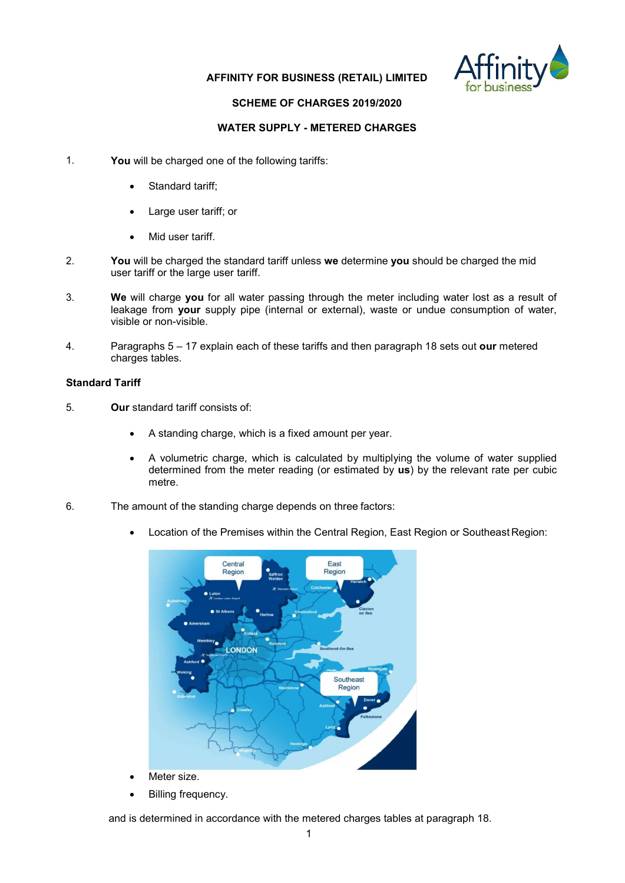

### **AFFINITY FOR BUSINESS (RETAIL) LIMITED**

### **SCHEME OF CHARGES 2019/2020**

### WATER SUPPLY - METERED CHARGES

- 1. You will be charged one of the following tariffs:
	- Standard tariff;
	- Large user tariff; or
	- Mid user tariff.
- 2. You will be charged the standard tariff unless we determine you should be charged the mid user tariff or the large user tariff.
- 3. We will charge you for all water passing through the meter including water lost as a result of leakage from your supply pipe (internal or external), waste or undue consumption of water, visible or non-visible.
- 4. Paragraphs  $5 17$  explain each of these tariffs and then paragraph 18 sets out our metered charges tables.

### Standard Tariff

- 5. Our standard tariff consists of:
	- A standing charge, which is a fixed amount per year.
	- A volumetric charge, which is calculated by multiplying the volume of water supplied determined from the meter reading (or estimated by  $\overline{us}$ ) by the relevant rate per cubic metre.
- 6. The amount of the standing charge depends on three factors:
	- Location of the Premises within the Central Region, East Region or Southeast Region:



Billing frequency.

and is determined in accordance with the metered charges tables at paragraph 18.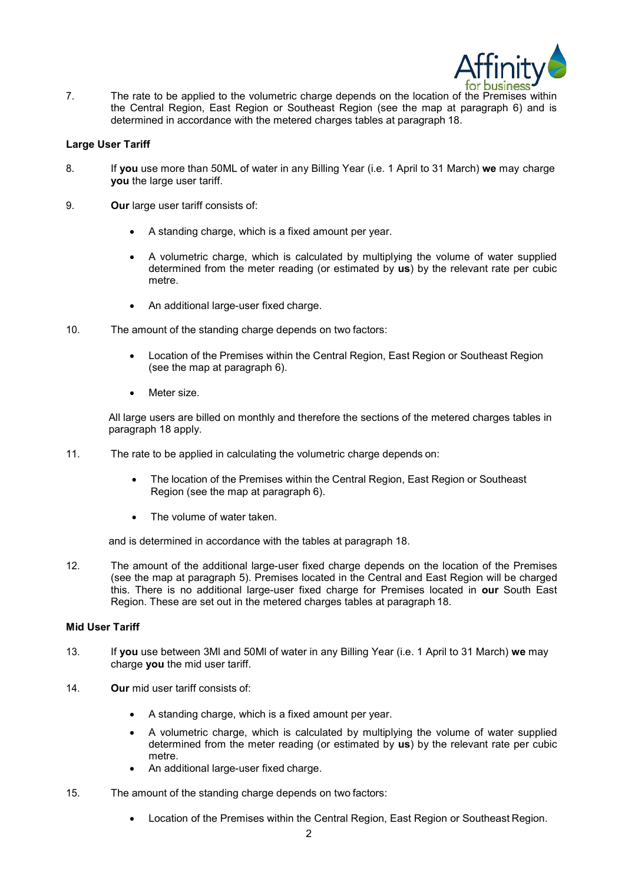

7. The rate to be applied to the volumetric charge depends on the location of the Premises within the Central Region, East Region or Southeast Region (see the map at paragraph 6) and is determined in accordance with the metered charges tables at paragraph 18.

#### Large User Tariff

- 8. If you use more than 50ML of water in any Billing Year (i.e. 1 April to 31 March) we may charge you the large user tariff.
- 9. Our large user tariff consists of:
	- A standing charge, which is a fixed amount per year.
	- A volumetric charge, which is calculated by multiplying the volume of water supplied determined from the meter reading (or estimated by us) by the relevant rate per cubic metre.
	- An additional large-user fixed charge.
- 10. The amount of the standing charge depends on two factors:
	- Location of the Premises within the Central Region, East Region or Southeast Region (see the map at paragraph 6).
	- Meter size.

All large users are billed on monthly and therefore the sections of the metered charges tables in paragraph 18 apply.

- 11. The rate to be applied in calculating the volumetric charge depends on:
	- The location of the Premises within the Central Region, East Region or Southeast Region (see the map at paragraph 6).
	- The volume of water taken.

and is determined in accordance with the tables at paragraph 18.

12. The amount of the additional large-user fixed charge depends on the location of the Premises (see the map at paragraph 5). Premises located in the Central and East Region will be charged this. There is no additional large-user fixed charge for Premises located in our South East Region. These are set out in the metered charges tables at paragraph 18.

#### Mid User Tariff

- 13. If you use between 3MI and 50MI of water in any Billing Year (i.e. 1 April to 31 March) we may charge you the mid user tariff.
- 14. Our mid user tariff consists of:
	- A standing charge, which is a fixed amount per year.
	- A volumetric charge, which is calculated by multiplying the volume of water supplied determined from the meter reading (or estimated by us) by the relevant rate per cubic metre.
	- An additional large-user fixed charge.
- 15. The amount of the standing charge depends on two factors:
	- Location of the Premises within the Central Region, East Region or Southeast Region.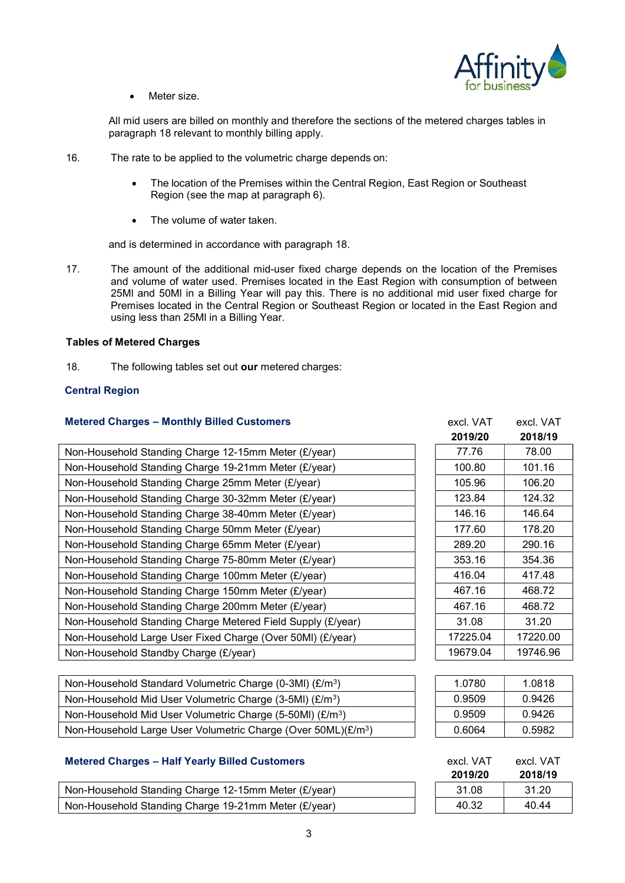

Meter size.

All mid users are billed on monthly and therefore the sections of the metered charges tables in paragraph 18 relevant to monthly billing apply.

- 16. The rate to be applied to the volumetric charge depends on:
	- The location of the Premises within the Central Region, East Region or Southeast Region (see the map at paragraph 6).
	- The volume of water taken.

and is determined in accordance with paragraph 18.

17. The amount of the additional mid-user fixed charge depends on the location of the Premises and volume of water used. Premises located in the East Region with consumption of between 25Ml and 50Ml in a Billing Year will pay this. There is no additional mid user fixed charge for Premises located in the Central Region or Southeast Region or located in the East Region and using less than 25Ml in a Billing Year.

### Tables of Metered Charges

18. The following tables set out our metered charges:

#### Central Region

#### Metered Charges - Monthly Billed Customers

| Non-Household Standing Charge 12-15mm Meter (£/year)        | 77.76    | 78.00    |
|-------------------------------------------------------------|----------|----------|
| Non-Household Standing Charge 19-21mm Meter (£/year)        | 100.80   | 101.16   |
| Non-Household Standing Charge 25mm Meter (£/year)           | 105.96   | 106.20   |
| Non-Household Standing Charge 30-32mm Meter (£/year)        | 123.84   | 124.32   |
| Non-Household Standing Charge 38-40mm Meter (£/year)        | 146.16   | 146.64   |
| Non-Household Standing Charge 50mm Meter (£/year)           | 177.60   | 178.20   |
| Non-Household Standing Charge 65mm Meter (£/year)           | 289.20   | 290.16   |
| Non-Household Standing Charge 75-80mm Meter (£/year)        | 353.16   | 354.36   |
| Non-Household Standing Charge 100mm Meter (£/year)          | 416.04   | 417.48   |
| Non-Household Standing Charge 150mm Meter (£/year)          | 467.16   | 468.72   |
| Non-Household Standing Charge 200mm Meter (£/year)          | 467.16   | 468.72   |
| Non-Household Standing Charge Metered Field Supply (£/year) | 31.08    | 31.20    |
| Non-Household Large User Fixed Charge (Over 50MI) (£/year)  | 17225.04 | 17220.00 |
| Non-Household Standby Charge (£/year)                       | 19679.04 | 19746.96 |

| Non-Household Standard Volumetric Charge (0-3MI) (£/m <sup>3</sup> )      |
|---------------------------------------------------------------------------|
| Non-Household Mid User Volumetric Charge (3-5MI) (£/m <sup>3</sup> )      |
| Non-Household Mid User Volumetric Charge (5-50MI) (£/m <sup>3</sup> )     |
| Non-Household Large User Volumetric Charge (Over 50ML)(£/m <sup>3</sup> ) |

### Metered Charges – Half Yearly Billed Customers

| Non-Household Standing Charge 12-15mm Meter (£/year) | 31.08 | 31.20 |
|------------------------------------------------------|-------|-------|
| Non-Household Standing Charge 19-21mm Meter (£/year) | 40.32 | 40.44 |

| excl. VAT<br>2019/20 | excl. VAT<br>2018/19 |
|----------------------|----------------------|
| 77.76                | 78.00                |
| 100.80               | 101.16               |
| 105.96               | 106.20               |
| 123.84               | 124.32               |
| 146.16               | 146.64               |
| 177.60               | 178.20               |
| 289.20               | 290.16               |
| 353.16               | 354.36               |
| 416.04               | 417.48               |
| 467.16               | 468.72               |
| 467.16               | 468.72               |
| 31.08                | 31.20                |
| 17225.04             | 17220.00             |
| 19679.04             | 19746.96             |

|                  | 1.0780 | 1.0818 |
|------------------|--------|--------|
|                  | 0.9509 | 0.9426 |
| (3               | 0.9509 | 0.9426 |
| $L$ )(£/m $^3$ ) | 0.6064 | 0.5982 |

| excl. VAT | excl. VAT |
|-----------|-----------|
| 2019/20   | 2018/19   |
| 31.08     | 31.20     |
| 40.32     | 40.44     |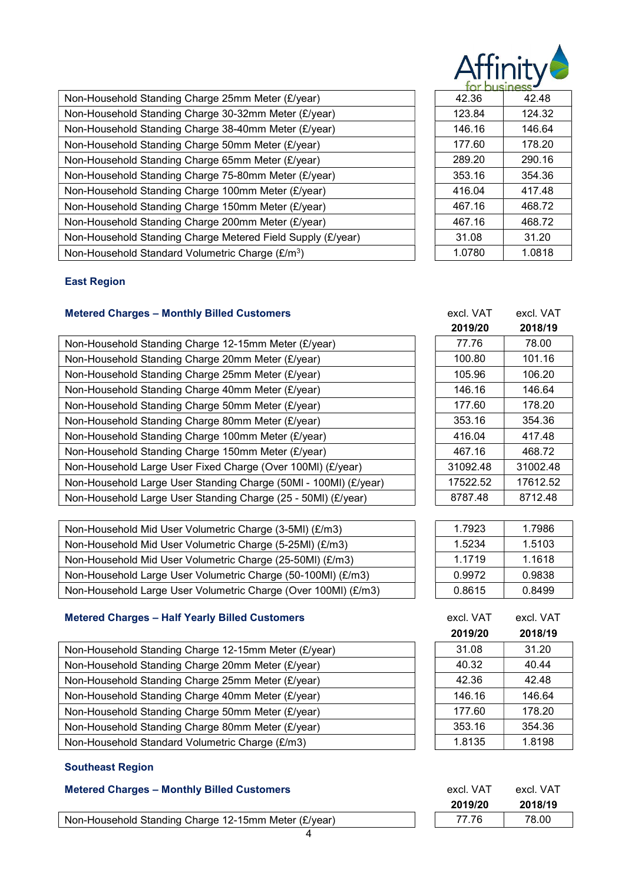| <b>dtinit</b> |  |
|---------------|--|
|               |  |

| Non-Household Standing Charge 25mm Meter (£/year)            | 42.36  | 42.48  |
|--------------------------------------------------------------|--------|--------|
| Non-Household Standing Charge 30-32mm Meter (£/year)         | 123.84 | 124.32 |
| Non-Household Standing Charge 38-40mm Meter (£/year)         | 146.16 | 146.64 |
| Non-Household Standing Charge 50mm Meter (£/year)            | 177.60 | 178.20 |
| Non-Household Standing Charge 65mm Meter (£/year)            | 289.20 | 290.16 |
| Non-Household Standing Charge 75-80mm Meter (£/year)         | 353.16 | 354.36 |
| Non-Household Standing Charge 100mm Meter (£/year)           | 416.04 | 417.48 |
| Non-Household Standing Charge 150mm Meter (£/year)           | 467.16 | 468.72 |
| Non-Household Standing Charge 200mm Meter (£/year)           | 467.16 | 468.72 |
| Non-Household Standing Charge Metered Field Supply (£/year)  | 31.08  | 31.20  |
| Non-Household Standard Volumetric Charge (£/m <sup>3</sup> ) | 1.0780 | 1.0818 |

| ear)           | 42.36  | 42.48  |
|----------------|--------|--------|
| (£/year)       | 123.84 | 124.32 |
| (£/year)       | 146.16 | 146.64 |
| ear)           | 177.60 | 178.20 |
| ear)           | 289.20 | 290.16 |
| (£/year)       | 353.16 | 354.36 |
| (year          | 416.04 | 417.48 |
| /year)         | 467.16 | 468.72 |
| (year          | 467.16 | 468.72 |
| ipply (£/year) | 31.08  | 31.20  |
|                | 1.0780 | 1.0818 |

## East Region

# Metered Charges – Monthly Billed Customers excl. VAT excl. VAT excl. VAT

| Non-Household Standing Charge 12-15mm Meter (£/year)             | 77.76    | 78.00    |
|------------------------------------------------------------------|----------|----------|
| Non-Household Standing Charge 20mm Meter (£/year)                | 100.80   | 101.16   |
| Non-Household Standing Charge 25mm Meter (£/year)                | 105.96   | 106.20   |
| Non-Household Standing Charge 40mm Meter (£/year)                | 146.16   | 146.64   |
| Non-Household Standing Charge 50mm Meter (£/year)                | 177.60   | 178.20   |
| Non-Household Standing Charge 80mm Meter (£/year)                | 353.16   | 354.36   |
| Non-Household Standing Charge 100mm Meter (£/year)               | 416.04   | 417.48   |
| Non-Household Standing Charge 150mm Meter (£/year)               | 467.16   | 468.72   |
| Non-Household Large User Fixed Charge (Over 100MI) (£/year)      | 31092.48 | 31002.48 |
| Non-Household Large User Standing Charge (50MI - 100MI) (£/year) | 17522.52 | 17612.52 |
| Non-Household Large User Standing Charge (25 - 50MI) (£/year)    | 8787.48  | 8712.48  |

| Non-Household Mid User Volumetric Charge (3-5MI) (£/m3)        | 1.7923 | 1.7986 |
|----------------------------------------------------------------|--------|--------|
| Non-Household Mid User Volumetric Charge (5-25MI) (£/m3)       | 1.5234 | 1.5103 |
| Non-Household Mid User Volumetric Charge (25-50MI) (£/m3)      | 1.1719 | 1.1618 |
| Non-Household Large User Volumetric Charge (50-100MI) (£/m3)   | 0.9972 | 0.9838 |
| Non-Household Large User Volumetric Charge (Over 100MI) (£/m3) | 0.8615 | 0.8499 |

## Metered Charges – Half Yearly Billed Customers

| Non-Household Standing Charge 12-15mm Meter (£/year) | 31.08  | 31.20  |
|------------------------------------------------------|--------|--------|
| Non-Household Standing Charge 20mm Meter (£/year)    | 40.32  | 40.44  |
| Non-Household Standing Charge 25mm Meter (£/year)    | 42.36  | 42.48  |
| Non-Household Standing Charge 40mm Meter (£/year)    | 146.16 | 146.64 |
| Non-Household Standing Charge 50mm Meter (£/year)    | 177.60 | 178.20 |
| Non-Household Standing Charge 80mm Meter (£/year)    | 353.16 | 354.36 |
| Non-Household Standard Volumetric Charge (£/m3)      | 1.8135 | 1.8198 |

## Southeast Region

### Metered Charges - Monthly Billed Customers

Non-Household Standing Charge 12-15mm Meter (£/year)

| excl. VAI | excivai  |  |
|-----------|----------|--|
| 2019/20   | 2018/19  |  |
| 77.76     | 78.00    |  |
| 100.80    | 101.16   |  |
| 105.96    | 106.20   |  |
| 146.16    | 146.64   |  |
| 177.60    | 178.20   |  |
| 353.16    | 354.36   |  |
| 416.04    | 417.48   |  |
| 467.16    | 468.72   |  |
| 31092.48  | 31002.48 |  |
| 17522.52  | 17612.52 |  |
| 8787.48   | 8712.48  |  |

| 1.7923 | 1.7986 |
|--------|--------|
| 1.5234 | 1.5103 |
| 1.1719 | 1.1618 |
| 0.9972 | 0.9838 |
| 0.8615 | 0.8499 |

| excl. VAT | excl. VAT |
|-----------|-----------|
| 2019/20   | 2018/19   |
| 31.08     | 31.20     |
| 40.32     | 40.44     |
| 42.36     | 42.48     |
| 146.16    | 146.64    |
| 177.60    | 178.20    |
| 353.16    | 354.36    |
| 1.8135    | 1.8198    |

| excl. VAT | excl. VAT |
|-----------|-----------|
| 2019/20   | 2018/19   |
| 77.76     | 78.00     |
|           |           |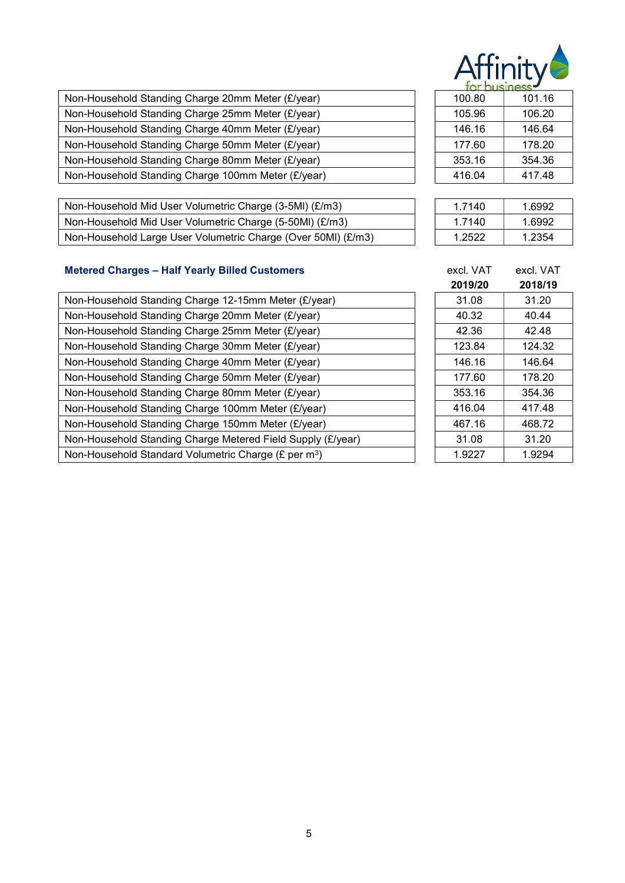

| 1.21 1.21 2.31 1.32 2.32 2.32 |        |
|-------------------------------|--------|
| 100.80                        | 101.16 |
| 105.96                        | 106.20 |
| 146.16                        | 146.64 |
| 177.60                        | 178.20 |
| 353.16                        | 354.36 |
| 416.04                        | 417.48 |
|                               |        |

| Non-Household Mid User Volumetric Charge (3-5MI) (£/m3)       | 1.7140 | 1.6992 |
|---------------------------------------------------------------|--------|--------|
| Non-Household Mid User Volumetric Charge (5-50MI) (£/m3)      | 1.7140 | 1.6992 |
| Non-Household Large User Volumetric Charge (Over 50MI) (£/m3) | 1.2522 | 1.2354 |

| tor business |        |  |  |  |
|--------------|--------|--|--|--|
| 100.80       | 101.16 |  |  |  |
| 105.96       | 106.20 |  |  |  |
| 146.16       | 146.64 |  |  |  |
| 177.60       | 178.20 |  |  |  |
| 353.16       | 354.36 |  |  |  |
| 416.04       | 417.48 |  |  |  |

| 1.7140 | 1.6992 |
|--------|--------|
| 1.7140 | 1.6992 |
| 1.2522 | 1.2354 |

# Metered Charges - Half Yearly Billed Customers

| Non-Household Standing Charge 12-15mm Meter (£/year)             | 31.08  | 31.20  |
|------------------------------------------------------------------|--------|--------|
| Non-Household Standing Charge 20mm Meter (£/year)                | 40.32  | 40.44  |
| Non-Household Standing Charge 25mm Meter (£/year)                | 42.36  | 42.48  |
| Non-Household Standing Charge 30mm Meter (£/year)                | 123.84 | 124.32 |
| Non-Household Standing Charge 40mm Meter (£/year)                | 146.16 | 146.64 |
| Non-Household Standing Charge 50mm Meter (£/year)                | 177.60 | 178.20 |
| Non-Household Standing Charge 80mm Meter (£/year)                | 353.16 | 354.36 |
| Non-Household Standing Charge 100mm Meter (£/year)               | 416.04 | 417.48 |
| Non-Household Standing Charge 150mm Meter (£/year)               | 467.16 | 468.72 |
| Non-Household Standing Charge Metered Field Supply (£/year)      | 31.08  | 31.20  |
| Non-Household Standard Volumetric Charge (£ per m <sup>3</sup> ) | 1.9227 | 1.9294 |

|          | excl. VAT | excl. VAT |
|----------|-----------|-----------|
|          | 2019/20   | 2018/19   |
| ear)     | 31.08     | 31.20     |
|          | 40.32     | 40.44     |
|          | 42.36     | 42.48     |
|          | 123.84    | 124.32    |
|          | 146.16    | 146.64    |
|          | 177.60    | 178.20    |
|          | 353.16    | 354.36    |
| r)       | 416.04    | 417.48    |
| r)       | 467.16    | 468.72    |
| (£/year) | 31.08     | 31.20     |
|          | 1.9227    | 1.9294    |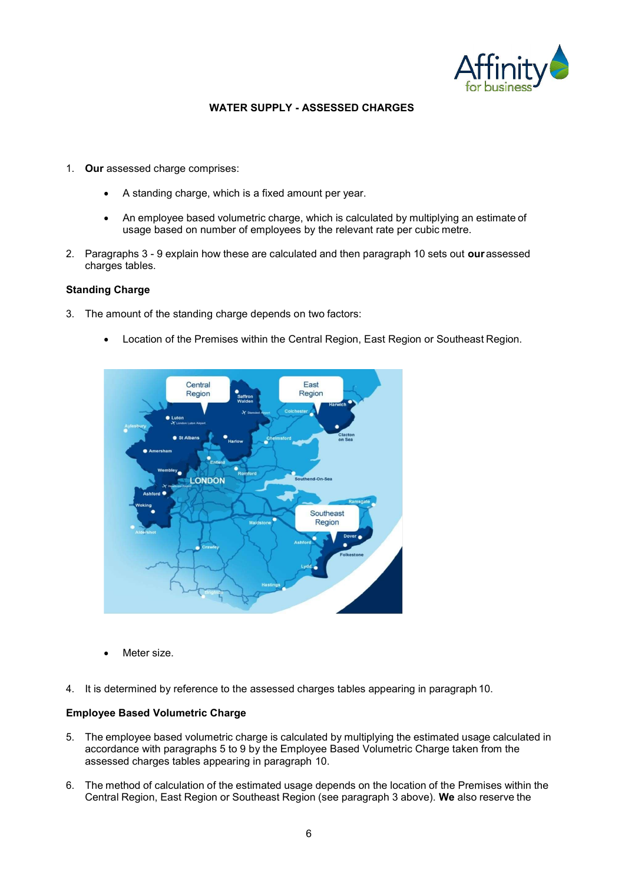

### WATER SUPPLY - ASSESSED CHARGES

- 1. Our assessed charge comprises:
	- A standing charge, which is a fixed amount per year.
	- An employee based volumetric charge, which is calculated by multiplying an estimate of usage based on number of employees by the relevant rate per cubic metre.
- 2. Paragraphs 3 9 explain how these are calculated and then paragraph 10 sets out **our** assessed charges tables.

#### Standing Charge

- 3. The amount of the standing charge depends on two factors:
	- Location of the Premises within the Central Region, East Region or Southeast Region.



Meter size.

4. It is determined by reference to the assessed charges tables appearing in paragraph 10.

#### Employee Based Volumetric Charge

- 5. The employee based volumetric charge is calculated by multiplying the estimated usage calculated in accordance with paragraphs 5 to 9 by the Employee Based Volumetric Charge taken from the assessed charges tables appearing in paragraph 10.
- 6. The method of calculation of the estimated usage depends on the location of the Premises within the Central Region, East Region or Southeast Region (see paragraph 3 above). We also reserve the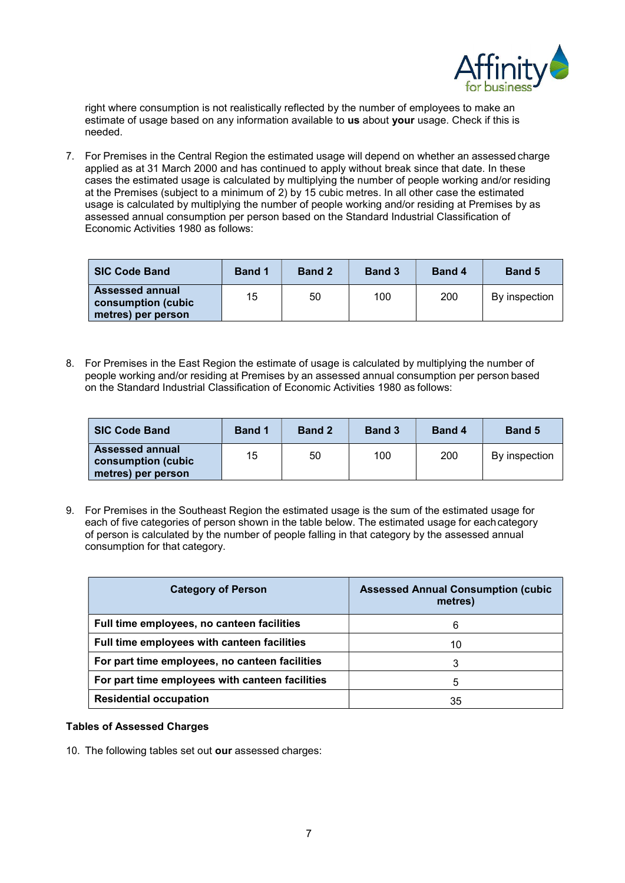

right where consumption is not realistically reflected by the number of employees to make an estimate of usage based on any information available to us about your usage. Check if this is needed.

7. For Premises in the Central Region the estimated usage will depend on whether an assessed charge applied as at 31 March 2000 and has continued to apply without break since that date. In these cases the estimated usage is calculated by multiplying the number of people working and/or residing at the Premises (subject to a minimum of 2) by 15 cubic metres. In all other case the estimated usage is calculated by multiplying the number of people working and/or residing at Premises by as assessed annual consumption per person based on the Standard Industrial Classification of Economic Activities 1980 as follows:

| <b>SIC Code Band</b>                                                | <b>Band 1</b> | <b>Band 2</b> | <b>Band 3</b> | <b>Band 4</b> | <b>Band 5</b> |
|---------------------------------------------------------------------|---------------|---------------|---------------|---------------|---------------|
| <b>Assessed annual</b><br>consumption (cubic)<br>metres) per person | 15            | 50            | 100           | 200           | By inspection |

8. For Premises in the East Region the estimate of usage is calculated by multiplying the number of people working and/or residing at Premises by an assessed annual consumption per person based on the Standard Industrial Classification of Economic Activities 1980 as follows:

| <b>SIC Code Band</b>                                               | <b>Band 1</b> | <b>Band 2</b> | <b>Band 3</b> | <b>Band 4</b> | <b>Band 5</b> |
|--------------------------------------------------------------------|---------------|---------------|---------------|---------------|---------------|
| <b>Assessed annual</b><br>consumption (cubic<br>metres) per person | 15            | 50            | 100           | 200           | By inspection |

9. For Premises in the Southeast Region the estimated usage is the sum of the estimated usage for each of five categories of person shown in the table below. The estimated usage for each category of person is calculated by the number of people falling in that category by the assessed annual consumption for that category.

| <b>Category of Person</b>                       | <b>Assessed Annual Consumption (cubic</b><br>metres) |
|-------------------------------------------------|------------------------------------------------------|
| Full time employees, no canteen facilities      | 6                                                    |
| Full time employees with canteen facilities     | 10                                                   |
| For part time employees, no canteen facilities  |                                                      |
| For part time employees with canteen facilities | 5                                                    |
| <b>Residential occupation</b>                   | 35                                                   |

#### Tables of Assessed Charges

10. The following tables set out our assessed charges: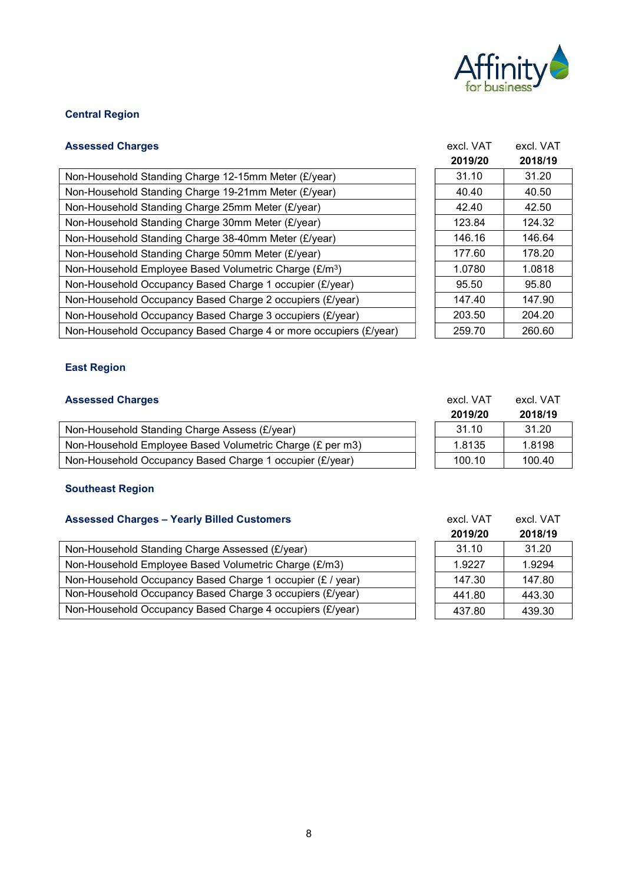

# Central Region

| <b>Assessed Charges</b>                                            | excl. VAT | excl. VAT |
|--------------------------------------------------------------------|-----------|-----------|
|                                                                    | 2019/20   | 2018/19   |
| Non-Household Standing Charge 12-15mm Meter (£/year)               | 31.10     | 31.20     |
| Non-Household Standing Charge 19-21mm Meter (£/year)               | 40.40     | 40.50     |
| Non-Household Standing Charge 25mm Meter (£/year)                  | 42.40     | 42.50     |
| Non-Household Standing Charge 30mm Meter (£/year)                  | 123.84    | 124.32    |
| Non-Household Standing Charge 38-40mm Meter (£/year)               | 146.16    | 146.64    |
| Non-Household Standing Charge 50mm Meter (£/year)                  | 177.60    | 178.20    |
| Non-Household Employee Based Volumetric Charge (£/m <sup>3</sup> ) | 1.0780    | 1.0818    |
| Non-Household Occupancy Based Charge 1 occupier (£/year)           | 95.50     | 95.80     |
| Non-Household Occupancy Based Charge 2 occupiers (£/year)          | 147.40    | 147.90    |
| Non-Household Occupancy Based Charge 3 occupiers (£/year)          | 203.50    | 204.20    |
| Non-Household Occupancy Based Charge 4 or more occupiers (£/year)  | 259.70    | 260.60    |

|                | 2019/20 | 2018/19 |  |
|----------------|---------|---------|--|
|                | 31.10   | 31.20   |  |
|                | 40.40   | 40.50   |  |
|                | 42.40   | 42.50   |  |
|                | 123.84  | 124.32  |  |
|                | 146.16  | 146.64  |  |
|                | 177.60  | 178.20  |  |
| )              | 1.0780  | 1.0818  |  |
| ear)           | 95.50   | 95.80   |  |
| /ear)          | 147.40  | 147.90  |  |
| /ear)          | 203.50  | 204.20  |  |
| piers (£/year) | 259.70  | 260.60  |  |
|                |         |         |  |

## East Region

### Assessed Charges excl. VAT excl. VAT excl. VAT

|                                                           | 2019/20 | 2018/19 |
|-----------------------------------------------------------|---------|---------|
| Non-Household Standing Charge Assess (£/year)             | 31.10   | 31.20   |
| Non-Household Employee Based Volumetric Charge (£ per m3) | 1.8135  | 1.8198  |
| Non-Household Occupancy Based Charge 1 occupier (£/year)  | 100.10  | 100.40  |

### Southeast Region

## Assessed Charges - Yearly Billed Customers

|                                                            | ------ | -----  |
|------------------------------------------------------------|--------|--------|
| Non-Household Standing Charge Assessed (£/year)            | 31.10  | 31.20  |
| Non-Household Employee Based Volumetric Charge (£/m3)      | 1.9227 | 1.9294 |
| Non-Household Occupancy Based Charge 1 occupier (£ / year) | 147.30 | 147.80 |
| Non-Household Occupancy Based Charge 3 occupiers (£/year)  | 441.80 | 443.30 |
| Non-Household Occupancy Based Charge 4 occupiers (£/year)  | 437.80 | 439.30 |

| 100.10    | 100.40    |
|-----------|-----------|
|           |           |
|           |           |
|           |           |
| excl. VAT | excl. VAT |
| 2019/20   | 2018/19   |
| 21 1 N    | 21 ON     |

| 2019/20 | 2018/19 |
|---------|---------|
| 31.10   | 31.20   |
| 1.9227  | 1.9294  |
| 147.30  | 147.80  |
| 441.80  | 443.30  |
| 437.80  | 439.30  |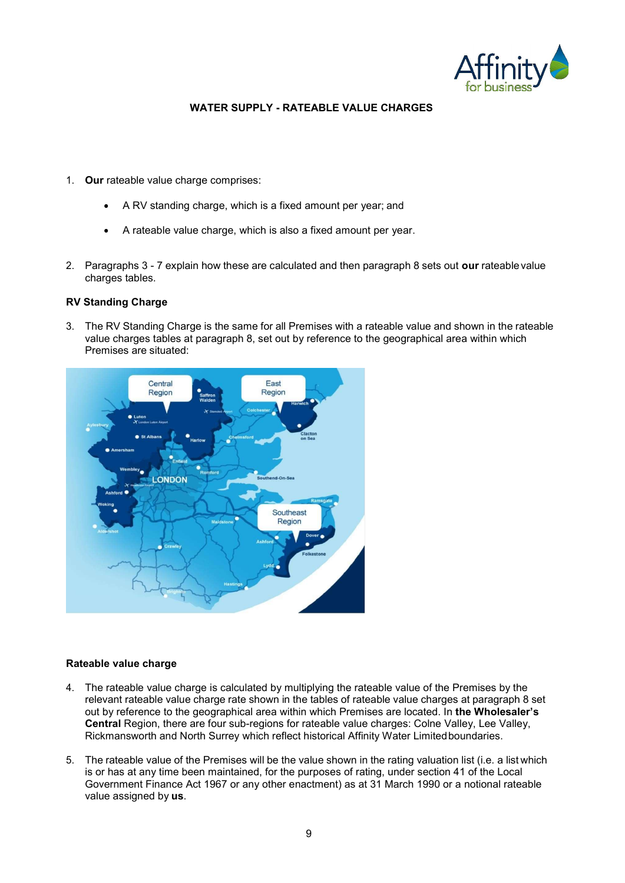

### WATER SUPPLY - RATEABLE VALUE CHARGES

- 1. Our rateable value charge comprises:
	- A RV standing charge, which is a fixed amount per year; and
	- A rateable value charge, which is also a fixed amount per year.
- 2. Paragraphs 3 7 explain how these are calculated and then paragraph 8 sets out our rateable value charges tables.

### RV Standing Charge

3. The RV Standing Charge is the same for all Premises with a rateable value and shown in the rateable value charges tables at paragraph 8, set out by reference to the geographical area within which Premises are situated:



#### Rateable value charge

- 4. The rateable value charge is calculated by multiplying the rateable value of the Premises by the relevant rateable value charge rate shown in the tables of rateable value charges at paragraph 8 set out by reference to the geographical area within which Premises are located. In the Wholesaler's Central Region, there are four sub-regions for rateable value charges: Colne Valley, Lee Valley, Rickmansworth and North Surrey which reflect historical Affinity Water Limited boundaries.
- 5. The rateable value of the Premises will be the value shown in the rating valuation list (i.e. a list which is or has at any time been maintained, for the purposes of rating, under section 41 of the Local Government Finance Act 1967 or any other enactment) as at 31 March 1990 or a notional rateable value assigned by us.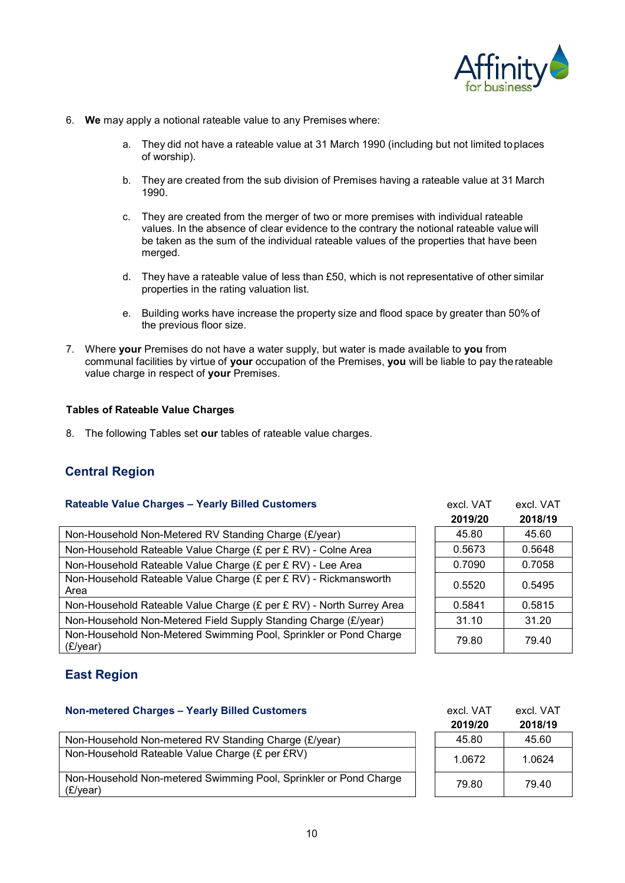

- 6. We may apply a notional rateable value to any Premises where:
	- a. They did not have a rateable value at 31 March 1990 (including but not limited to places of worship).
	- b. They are created from the sub division of Premises having a rateable value at 31 March 1990.
	- c. They are created from the merger of two or more premises with individual rateable values. In the absence of clear evidence to the contrary the notional rateable value will be taken as the sum of the individual rateable values of the properties that have been merged.
	- d. They have a rateable value of less than £50, which is not representative of other similar properties in the rating valuation list.
	- e. Building works have increase the property size and flood space by greater than 50% of the previous floor size.
- 7. Where your Premises do not have a water supply, but water is made available to you from communal facilities by virtue of your occupation of the Premises, you will be liable to pay the rateable value charge in respect of your Premises.

#### Tables of Rateable Value Charges

8. The following Tables set our tables of rateable value charges.

# Central Region

### Rateable Value Charges - Yearly Billed Customers

| Non-Household Non-Metered RV Standing Charge (£/year)                         | 45.80  | 45.60  |
|-------------------------------------------------------------------------------|--------|--------|
| Non-Household Rateable Value Charge (£ per £ RV) - Colne Area                 | 0.5673 | 0.5648 |
| Non-Household Rateable Value Charge (£ per £ RV) - Lee Area                   | 0.7090 | 0.7058 |
| Non-Household Rateable Value Charge (£ per £ RV) - Rickmansworth<br>Area      | 0.5520 | 0.5495 |
| Non-Household Rateable Value Charge (£ per £ RV) - North Surrey Area          | 0.5841 | 0.5815 |
| Non-Household Non-Metered Field Supply Standing Charge (£/year)               | 31.10  | 31.20  |
| Non-Household Non-Metered Swimming Pool, Sprinkler or Pond Charge<br>(E/year) | 79.80  | 79.40  |

| excl. VAT | excl. VAT |
|-----------|-----------|
| 2019/20   | 2018/19   |
| 45.80     | 45.60     |
| 0.5673    | 0.5648    |
| 0.7090    | 0.7058    |
| 0.5520    | 0.5495    |
| 0.5841    | 0.5815    |
| 31.10     | 31.20     |
| 79.80     | 79.40     |

# East Region

### Non-metered Charges – Yearly Billed Customers excl. VAT excl. VAT excl. VAT

|                                                                               | 2019/20 | 2018/19 |
|-------------------------------------------------------------------------------|---------|---------|
| Non-Household Non-metered RV Standing Charge (£/year)                         | 45.80   | 45.60   |
| Non-Household Rateable Value Charge (£ per £RV)                               | 1.0672  | 1.0624  |
| Non-Household Non-metered Swimming Pool, Sprinkler or Pond Charge<br>(E/year) | 79.80   | 79.40   |
|                                                                               |         |         |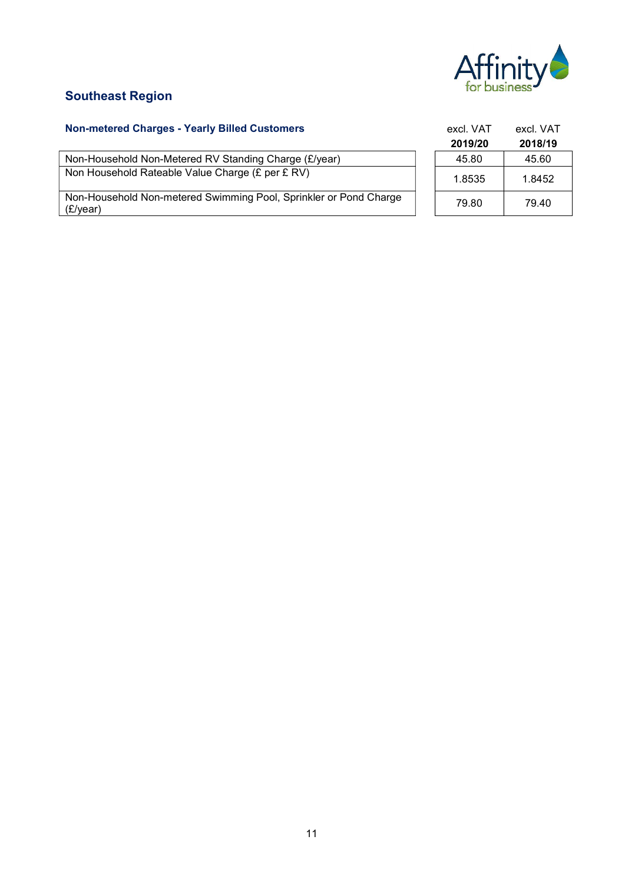

# Southeast Region

### Non-metered Charges - Yearly Billed Customers

Non-Household Non-Metered RV Standing Charge (£/year) Non Household Rateable Value Charge (£ per £ RV)

Non-Household Non-metered Swimming Pool, Sprinkler or Pond Charge (£/year) 79.80 79.40

| excl. VAT | excl. VAT |
|-----------|-----------|
| 2019/20   | 2018/19   |
| 45.80     | 45.60     |
| 1.8535    | 1.8452    |
| 79.80     | 79.40     |